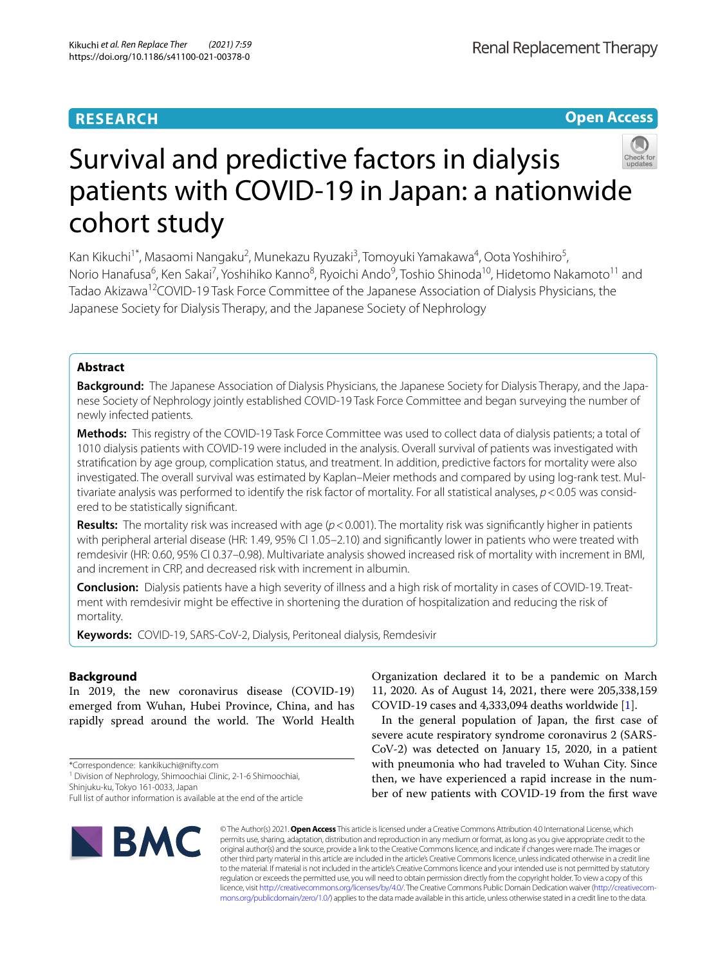# **RESEARCH**

**Open Access**



# Survival and predictive factors in dialysis patients with COVID-19 in Japan: a nationwide cohort study

Kan Kikuchi<sup>1\*</sup>, Masaomi Nangaku<sup>2</sup>, Munekazu Ryuzaki<sup>3</sup>, Tomoyuki Yamakawa<sup>4</sup>, Oota Yoshihiro<sup>5</sup>, Norio Hanafusa<sup>6</sup>, Ken Sakai<sup>7</sup>, Yoshihiko Kanno<sup>8</sup>, Ryoichi Ando<sup>9</sup>, Toshio Shinoda<sup>10</sup>, Hidetomo Nakamoto<sup>11</sup> and Tadao Akizawa<sup>12</sup>COVID-19 Task Force Committee of the Japanese Association of Dialysis Physicians, the Japanese Society for Dialysis Therapy, and the Japanese Society of Nephrology

# **Abstract**

**Background:** The Japanese Association of Dialysis Physicians, the Japanese Society for Dialysis Therapy, and the Japanese Society of Nephrology jointly established COVID-19 Task Force Committee and began surveying the number of newly infected patients.

**Methods:** This registry of the COVID-19 Task Force Committee was used to collect data of dialysis patients; a total of 1010 dialysis patients with COVID-19 were included in the analysis. Overall survival of patients was investigated with stratifcation by age group, complication status, and treatment. In addition, predictive factors for mortality were also investigated. The overall survival was estimated by Kaplan–Meier methods and compared by using log-rank test. Multivariate analysis was performed to identify the risk factor of mortality. For all statistical analyses, *p*<0.05 was considered to be statistically signifcant.

Results: The mortality risk was increased with age ( $p < 0.001$ ). The mortality risk was significantly higher in patients with peripheral arterial disease (HR: 1.49, 95% CI 1.05–2.10) and significantly lower in patients who were treated with remdesivir (HR: 0.60, 95% CI 0.37–0.98). Multivariate analysis showed increased risk of mortality with increment in BMI, and increment in CRP, and decreased risk with increment in albumin.

**Conclusion:** Dialysis patients have a high severity of illness and a high risk of mortality in cases of COVID-19. Treatment with remdesivir might be efective in shortening the duration of hospitalization and reducing the risk of mortality.

**Keywords:** COVID-19, SARS-CoV-2, Dialysis, Peritoneal dialysis, Remdesivir

# **Background**

In 2019, the new coronavirus disease (COVID-19) emerged from Wuhan, Hubei Province, China, and has rapidly spread around the world. The World Health

Shinjuku-ku, Tokyo 161-0033, Japan

Full list of author information is available at the end of the article



Organization declared it to be a pandemic on March 11, 2020. As of August 14, 2021, there were 205,338,159 COVID-19 cases and 4,333,094 deaths worldwide [\[1](#page-8-0)].

In the general population of Japan, the frst case of severe acute respiratory syndrome coronavirus 2 (SARS-CoV-2) was detected on January 15, 2020, in a patient with pneumonia who had traveled to Wuhan City. Since then, we have experienced a rapid increase in the number of new patients with COVID-19 from the frst wave

© The Author(s) 2021. **Open Access** This article is licensed under a Creative Commons Attribution 4.0 International License, which permits use, sharing, adaptation, distribution and reproduction in any medium or format, as long as you give appropriate credit to the original author(s) and the source, provide a link to the Creative Commons licence, and indicate if changes were made. The images or other third party material in this article are included in the article's Creative Commons licence, unless indicated otherwise in a credit line to the material. If material is not included in the article's Creative Commons licence and your intended use is not permitted by statutory regulation or exceeds the permitted use, you will need to obtain permission directly from the copyright holder. To view a copy of this licence, visit [http://creativecommons.org/licenses/by/4.0/.](http://creativecommons.org/licenses/by/4.0/) The Creative Commons Public Domain Dedication waiver ([http://creativecom](http://creativecommons.org/publicdomain/zero/1.0/)[mons.org/publicdomain/zero/1.0/\)](http://creativecommons.org/publicdomain/zero/1.0/) applies to the data made available in this article, unless otherwise stated in a credit line to the data.

<sup>\*</sup>Correspondence: kankikuchi@nifty.com

<sup>&</sup>lt;sup>1</sup> Division of Nephrology, Shimoochiai Clinic, 2-1-6 Shimoochiai,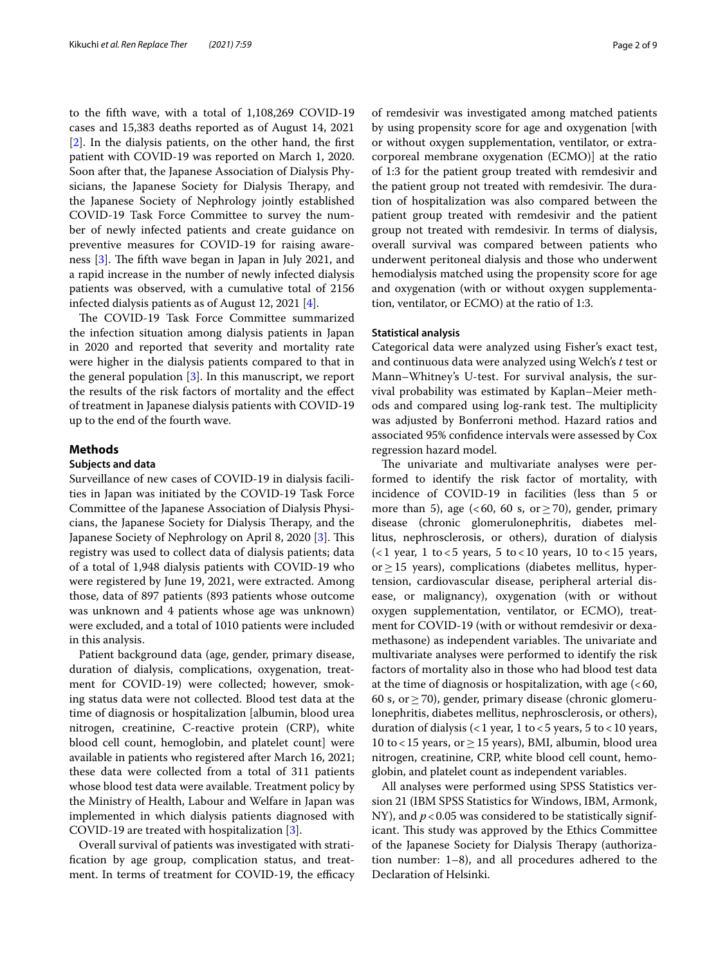to the ffth wave, with a total of 1,108,269 COVID-19 cases and 15,383 deaths reported as of August 14, 2021 [[2\]](#page-8-1). In the dialysis patients, on the other hand, the frst patient with COVID-19 was reported on March 1, 2020. Soon after that, the Japanese Association of Dialysis Physicians, the Japanese Society for Dialysis Therapy, and the Japanese Society of Nephrology jointly established COVID-19 Task Force Committee to survey the number of newly infected patients and create guidance on preventive measures for COVID-19 for raising awareness  $[3]$  $[3]$ . The fifth wave began in Japan in July 2021, and a rapid increase in the number of newly infected dialysis patients was observed, with a cumulative total of 2156 infected dialysis patients as of August 12, 2021 [\[4](#page-8-3)].

The COVID-19 Task Force Committee summarized the infection situation among dialysis patients in Japan in 2020 and reported that severity and mortality rate were higher in the dialysis patients compared to that in the general population [[3\]](#page-8-2). In this manuscript, we report the results of the risk factors of mortality and the efect of treatment in Japanese dialysis patients with COVID-19 up to the end of the fourth wave.

#### **Methods**

# **Subjects and data**

Surveillance of new cases of COVID-19 in dialysis facilities in Japan was initiated by the COVID-19 Task Force Committee of the Japanese Association of Dialysis Physicians, the Japanese Society for Dialysis Therapy, and the Japanese Society of Nephrology on April 8, 2020 [\[3](#page-8-2)]. This registry was used to collect data of dialysis patients; data of a total of 1,948 dialysis patients with COVID-19 who were registered by June 19, 2021, were extracted. Among those, data of 897 patients (893 patients whose outcome was unknown and 4 patients whose age was unknown) were excluded, and a total of 1010 patients were included in this analysis.

Patient background data (age, gender, primary disease, duration of dialysis, complications, oxygenation, treatment for COVID-19) were collected; however, smoking status data were not collected. Blood test data at the time of diagnosis or hospitalization [albumin, blood urea nitrogen, creatinine, C-reactive protein (CRP), white blood cell count, hemoglobin, and platelet count] were available in patients who registered after March 16, 2021; these data were collected from a total of 311 patients whose blood test data were available. Treatment policy by the Ministry of Health, Labour and Welfare in Japan was implemented in which dialysis patients diagnosed with COVID-19 are treated with hospitalization [\[3](#page-8-2)].

Overall survival of patients was investigated with stratifcation by age group, complication status, and treatment. In terms of treatment for COVID-19, the efficacy of remdesivir was investigated among matched patients by using propensity score for age and oxygenation [with or without oxygen supplementation, ventilator, or extracorporeal membrane oxygenation (ECMO)] at the ratio of 1:3 for the patient group treated with remdesivir and the patient group not treated with remdesivir. The duration of hospitalization was also compared between the patient group treated with remdesivir and the patient group not treated with remdesivir. In terms of dialysis, overall survival was compared between patients who underwent peritoneal dialysis and those who underwent hemodialysis matched using the propensity score for age and oxygenation (with or without oxygen supplementation, ventilator, or ECMO) at the ratio of 1:3.

#### **Statistical analysis**

Categorical data were analyzed using Fisher's exact test, and continuous data were analyzed using Welch's *t* test or Mann–Whitney's U-test. For survival analysis, the survival probability was estimated by Kaplan–Meier methods and compared using log-rank test. The multiplicity was adjusted by Bonferroni method. Hazard ratios and associated 95% confdence intervals were assessed by Cox regression hazard model.

The univariate and multivariate analyses were performed to identify the risk factor of mortality, with incidence of COVID-19 in facilities (less than 5 or more than 5), age (<60, 60 s, or  $\geq$  70), gender, primary disease (chronic glomerulonephritis, diabetes mellitus, nephrosclerosis, or others), duration of dialysis  $(1$  year, 1 to <5 years, 5 to < 10 years, 10 to < 15 years, or≥15 years), complications (diabetes mellitus, hypertension, cardiovascular disease, peripheral arterial disease, or malignancy), oxygenation (with or without oxygen supplementation, ventilator, or ECMO), treatment for COVID-19 (with or without remdesivir or dexamethasone) as independent variables. The univariate and multivariate analyses were performed to identify the risk factors of mortality also in those who had blood test data at the time of diagnosis or hospitalization, with age  $\left( < 60, \right)$ 60 s, or  $\geq$  70), gender, primary disease (chronic glomerulonephritis, diabetes mellitus, nephrosclerosis, or others), duration of dialysis (<1 year, 1 to <5 years, 5 to <10 years, 10 to < 15 years, or  $\geq$  15 years), BMI, albumin, blood urea nitrogen, creatinine, CRP, white blood cell count, hemoglobin, and platelet count as independent variables.

All analyses were performed using SPSS Statistics version 21 (IBM SPSS Statistics for Windows, IBM, Armonk, NY), and  $p < 0.05$  was considered to be statistically significant. This study was approved by the Ethics Committee of the Japanese Society for Dialysis Therapy (authorization number: 1–8), and all procedures adhered to the Declaration of Helsinki.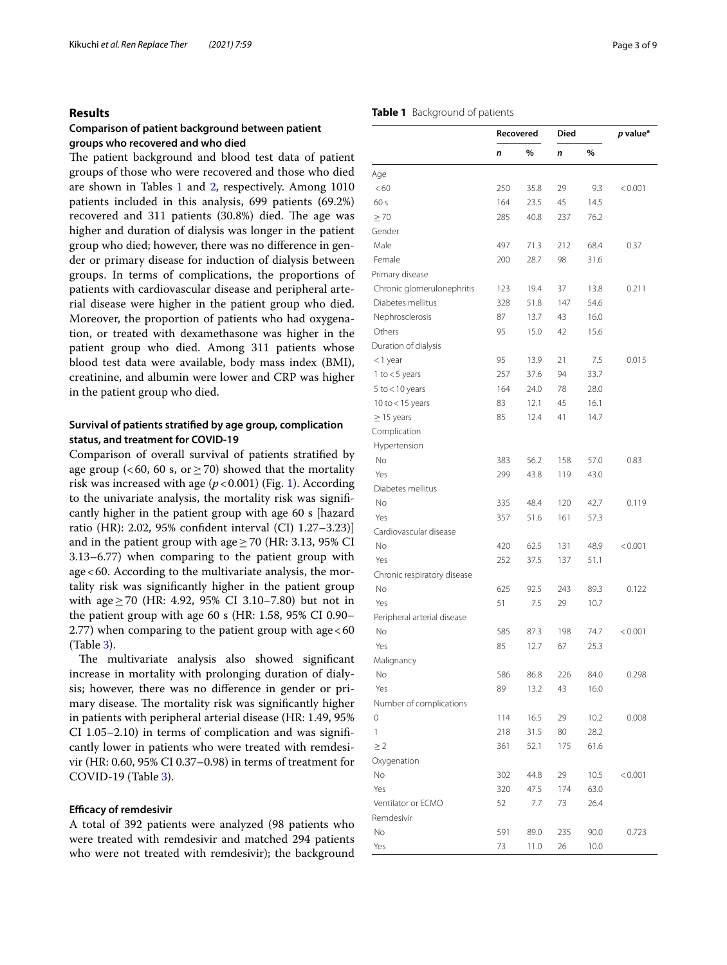## **Results**

# **Comparison of patient background between patient groups who recovered and who died**

The patient background and blood test data of patient groups of those who were recovered and those who died are shown in Tables [1](#page-2-0) and [2](#page-3-0), respectively. Among 1010 patients included in this analysis, 699 patients (69.2%) recovered and 311 patients (30.8%) died. The age was higher and duration of dialysis was longer in the patient group who died; however, there was no diference in gender or primary disease for induction of dialysis between groups. In terms of complications, the proportions of patients with cardiovascular disease and peripheral arterial disease were higher in the patient group who died. Moreover, the proportion of patients who had oxygenation, or treated with dexamethasone was higher in the patient group who died. Among 311 patients whose blood test data were available, body mass index (BMI), creatinine, and albumin were lower and CRP was higher in the patient group who died.

# **Survival of patients stratifed by age group, complication status, and treatment for COVID‑19**

Comparison of overall survival of patients stratifed by age group (<60, 60 s, or  $\geq$  70) showed that the mortality risk was increased with age  $(p < 0.001)$  $(p < 0.001)$  $(p < 0.001)$  (Fig. 1). According to the univariate analysis, the mortality risk was signifcantly higher in the patient group with age 60 s [hazard ratio (HR): 2.02, 95% confdent interval (CI) 1.27–3.23)] and in the patient group with age  $\geq$  70 (HR: 3.13, 95% CI 3.13–6.77) when comparing to the patient group with age<60. According to the multivariate analysis, the mortality risk was signifcantly higher in the patient group with age≥70 (HR: 4.92, 95% CI 3.10–7.80) but not in the patient group with age 60 s (HR: 1.58, 95% CI 0.90– 2.77) when comparing to the patient group with  $age < 60$ (Table [3](#page-4-0)).

The multivariate analysis also showed significant increase in mortality with prolonging duration of dialysis; however, there was no diference in gender or primary disease. The mortality risk was significantly higher in patients with peripheral arterial disease (HR: 1.49, 95% CI 1.05–2.10) in terms of complication and was signifcantly lower in patients who were treated with remdesivir (HR: 0.60, 95% CI 0.37–0.98) in terms of treatment for COVID-19 (Table [3](#page-4-0)).

# **Efficacy of remdesivir**

A total of 392 patients were analyzed (98 patients who were treated with remdesivir and matched 294 patients who were not treated with remdesivir); the background

# <span id="page-2-0"></span>**Table 1** Background of patients

| $\%$<br>%<br>n<br>n<br><60<br>250<br>35.8<br>29<br>9.3<br>< 0.001<br>164<br>45<br>60s<br>23.5<br>14.5<br>$\geq 70$<br>285<br>40.8<br>237<br>76.2<br>Male<br>497<br>71.3<br>212<br>68.4<br>0.37<br>Female<br>200<br>28.7<br>98<br>31.6<br>Primary disease<br>Chronic glomerulonephritis<br>123<br>19.4<br>37<br>13.8<br>0.211<br>Diabetes mellitus<br>147<br>54.6<br>328<br>51.8<br>Nephrosclerosis<br>87<br>13.7<br>43<br>16.0<br>Others<br>95<br>42<br>15.6<br>15.0<br>Duration of dialysis<br>95<br>13.9<br>21<br>7.5<br>0.015<br><1 year<br>257<br>1 to $<$ 5 years<br>37.6<br>94<br>33.7<br>164<br>24.0<br>5 to $<$ 10 years<br>78<br>28.0<br>10 to $<$ 15 years<br>83<br>45<br>12.1<br>16.1<br>85<br>12.4<br>41<br>14.7<br>$\geq$ 15 years<br>Hypertension<br>No<br>383<br>56.2<br>57.0<br>158<br>0.83<br>Yes<br>299<br>43.8<br>119<br>43.0<br>Diabetes mellitus<br>No<br>335<br>48.4<br>120<br>42.7<br>0.119<br>Yes<br>357<br>51.6<br>161<br>57.3<br>Cardiovascular disease<br>No<br>420<br>62.5<br>131<br>48.9<br>< 0.001<br>Yes<br>252<br>37.5<br>137<br>51.1<br>Chronic respiratory disease<br>No<br>625<br>92.5<br>243<br>89.3<br>0.122<br>Yes<br>51<br>7.5<br>29<br>10.7<br>Peripheral arterial disease<br>No<br>585<br>87.3<br>198<br>74.7<br>< 0.001<br>Yes<br>85<br>12.7<br>67<br>25.3<br>Malignancy<br>86.8<br>226<br>84.0<br>586<br>0.298<br>No<br>Yes<br>89<br>13.2<br>43<br>16.0<br>Number of complications<br>0<br>114<br>16.5<br>29<br>10.2<br>0.008<br>1<br>218<br>31.5<br>80<br>28.2<br>$\geq$ 2<br>361<br>52.1<br>175<br>61.6<br>No<br>302<br>29<br>44.8<br>10.5<br>< 0.001<br>Yes<br>47.5<br>320<br>174<br>63.0<br>Ventilator or ECMO<br>52<br>7.7<br>73<br>26.4<br>No<br>591<br>89.0<br>235<br>90.0<br>0.723<br>Yes<br>73<br>11.0<br>26<br>10.0 |              | Died<br>Recovered |  | $p$ value <sup>a</sup> |  |
|--------------------------------------------------------------------------------------------------------------------------------------------------------------------------------------------------------------------------------------------------------------------------------------------------------------------------------------------------------------------------------------------------------------------------------------------------------------------------------------------------------------------------------------------------------------------------------------------------------------------------------------------------------------------------------------------------------------------------------------------------------------------------------------------------------------------------------------------------------------------------------------------------------------------------------------------------------------------------------------------------------------------------------------------------------------------------------------------------------------------------------------------------------------------------------------------------------------------------------------------------------------------------------------------------------------------------------------------------------------------------------------------------------------------------------------------------------------------------------------------------------------------------------------------------------------------------------------------------------------------------------------------------------------------------------------------------------------------------------------------------------------------------|--------------|-------------------|--|------------------------|--|
|                                                                                                                                                                                                                                                                                                                                                                                                                                                                                                                                                                                                                                                                                                                                                                                                                                                                                                                                                                                                                                                                                                                                                                                                                                                                                                                                                                                                                                                                                                                                                                                                                                                                                                                                                                          |              |                   |  |                        |  |
|                                                                                                                                                                                                                                                                                                                                                                                                                                                                                                                                                                                                                                                                                                                                                                                                                                                                                                                                                                                                                                                                                                                                                                                                                                                                                                                                                                                                                                                                                                                                                                                                                                                                                                                                                                          | Age          |                   |  |                        |  |
|                                                                                                                                                                                                                                                                                                                                                                                                                                                                                                                                                                                                                                                                                                                                                                                                                                                                                                                                                                                                                                                                                                                                                                                                                                                                                                                                                                                                                                                                                                                                                                                                                                                                                                                                                                          |              |                   |  |                        |  |
|                                                                                                                                                                                                                                                                                                                                                                                                                                                                                                                                                                                                                                                                                                                                                                                                                                                                                                                                                                                                                                                                                                                                                                                                                                                                                                                                                                                                                                                                                                                                                                                                                                                                                                                                                                          |              |                   |  |                        |  |
|                                                                                                                                                                                                                                                                                                                                                                                                                                                                                                                                                                                                                                                                                                                                                                                                                                                                                                                                                                                                                                                                                                                                                                                                                                                                                                                                                                                                                                                                                                                                                                                                                                                                                                                                                                          |              |                   |  |                        |  |
|                                                                                                                                                                                                                                                                                                                                                                                                                                                                                                                                                                                                                                                                                                                                                                                                                                                                                                                                                                                                                                                                                                                                                                                                                                                                                                                                                                                                                                                                                                                                                                                                                                                                                                                                                                          | Gender       |                   |  |                        |  |
|                                                                                                                                                                                                                                                                                                                                                                                                                                                                                                                                                                                                                                                                                                                                                                                                                                                                                                                                                                                                                                                                                                                                                                                                                                                                                                                                                                                                                                                                                                                                                                                                                                                                                                                                                                          |              |                   |  |                        |  |
|                                                                                                                                                                                                                                                                                                                                                                                                                                                                                                                                                                                                                                                                                                                                                                                                                                                                                                                                                                                                                                                                                                                                                                                                                                                                                                                                                                                                                                                                                                                                                                                                                                                                                                                                                                          |              |                   |  |                        |  |
|                                                                                                                                                                                                                                                                                                                                                                                                                                                                                                                                                                                                                                                                                                                                                                                                                                                                                                                                                                                                                                                                                                                                                                                                                                                                                                                                                                                                                                                                                                                                                                                                                                                                                                                                                                          |              |                   |  |                        |  |
|                                                                                                                                                                                                                                                                                                                                                                                                                                                                                                                                                                                                                                                                                                                                                                                                                                                                                                                                                                                                                                                                                                                                                                                                                                                                                                                                                                                                                                                                                                                                                                                                                                                                                                                                                                          |              |                   |  |                        |  |
|                                                                                                                                                                                                                                                                                                                                                                                                                                                                                                                                                                                                                                                                                                                                                                                                                                                                                                                                                                                                                                                                                                                                                                                                                                                                                                                                                                                                                                                                                                                                                                                                                                                                                                                                                                          |              |                   |  |                        |  |
|                                                                                                                                                                                                                                                                                                                                                                                                                                                                                                                                                                                                                                                                                                                                                                                                                                                                                                                                                                                                                                                                                                                                                                                                                                                                                                                                                                                                                                                                                                                                                                                                                                                                                                                                                                          |              |                   |  |                        |  |
|                                                                                                                                                                                                                                                                                                                                                                                                                                                                                                                                                                                                                                                                                                                                                                                                                                                                                                                                                                                                                                                                                                                                                                                                                                                                                                                                                                                                                                                                                                                                                                                                                                                                                                                                                                          |              |                   |  |                        |  |
|                                                                                                                                                                                                                                                                                                                                                                                                                                                                                                                                                                                                                                                                                                                                                                                                                                                                                                                                                                                                                                                                                                                                                                                                                                                                                                                                                                                                                                                                                                                                                                                                                                                                                                                                                                          |              |                   |  |                        |  |
|                                                                                                                                                                                                                                                                                                                                                                                                                                                                                                                                                                                                                                                                                                                                                                                                                                                                                                                                                                                                                                                                                                                                                                                                                                                                                                                                                                                                                                                                                                                                                                                                                                                                                                                                                                          |              |                   |  |                        |  |
|                                                                                                                                                                                                                                                                                                                                                                                                                                                                                                                                                                                                                                                                                                                                                                                                                                                                                                                                                                                                                                                                                                                                                                                                                                                                                                                                                                                                                                                                                                                                                                                                                                                                                                                                                                          |              |                   |  |                        |  |
|                                                                                                                                                                                                                                                                                                                                                                                                                                                                                                                                                                                                                                                                                                                                                                                                                                                                                                                                                                                                                                                                                                                                                                                                                                                                                                                                                                                                                                                                                                                                                                                                                                                                                                                                                                          |              |                   |  |                        |  |
|                                                                                                                                                                                                                                                                                                                                                                                                                                                                                                                                                                                                                                                                                                                                                                                                                                                                                                                                                                                                                                                                                                                                                                                                                                                                                                                                                                                                                                                                                                                                                                                                                                                                                                                                                                          |              |                   |  |                        |  |
|                                                                                                                                                                                                                                                                                                                                                                                                                                                                                                                                                                                                                                                                                                                                                                                                                                                                                                                                                                                                                                                                                                                                                                                                                                                                                                                                                                                                                                                                                                                                                                                                                                                                                                                                                                          |              |                   |  |                        |  |
|                                                                                                                                                                                                                                                                                                                                                                                                                                                                                                                                                                                                                                                                                                                                                                                                                                                                                                                                                                                                                                                                                                                                                                                                                                                                                                                                                                                                                                                                                                                                                                                                                                                                                                                                                                          | Complication |                   |  |                        |  |
|                                                                                                                                                                                                                                                                                                                                                                                                                                                                                                                                                                                                                                                                                                                                                                                                                                                                                                                                                                                                                                                                                                                                                                                                                                                                                                                                                                                                                                                                                                                                                                                                                                                                                                                                                                          |              |                   |  |                        |  |
|                                                                                                                                                                                                                                                                                                                                                                                                                                                                                                                                                                                                                                                                                                                                                                                                                                                                                                                                                                                                                                                                                                                                                                                                                                                                                                                                                                                                                                                                                                                                                                                                                                                                                                                                                                          |              |                   |  |                        |  |
|                                                                                                                                                                                                                                                                                                                                                                                                                                                                                                                                                                                                                                                                                                                                                                                                                                                                                                                                                                                                                                                                                                                                                                                                                                                                                                                                                                                                                                                                                                                                                                                                                                                                                                                                                                          |              |                   |  |                        |  |
|                                                                                                                                                                                                                                                                                                                                                                                                                                                                                                                                                                                                                                                                                                                                                                                                                                                                                                                                                                                                                                                                                                                                                                                                                                                                                                                                                                                                                                                                                                                                                                                                                                                                                                                                                                          |              |                   |  |                        |  |
|                                                                                                                                                                                                                                                                                                                                                                                                                                                                                                                                                                                                                                                                                                                                                                                                                                                                                                                                                                                                                                                                                                                                                                                                                                                                                                                                                                                                                                                                                                                                                                                                                                                                                                                                                                          |              |                   |  |                        |  |
|                                                                                                                                                                                                                                                                                                                                                                                                                                                                                                                                                                                                                                                                                                                                                                                                                                                                                                                                                                                                                                                                                                                                                                                                                                                                                                                                                                                                                                                                                                                                                                                                                                                                                                                                                                          |              |                   |  |                        |  |
|                                                                                                                                                                                                                                                                                                                                                                                                                                                                                                                                                                                                                                                                                                                                                                                                                                                                                                                                                                                                                                                                                                                                                                                                                                                                                                                                                                                                                                                                                                                                                                                                                                                                                                                                                                          |              |                   |  |                        |  |
|                                                                                                                                                                                                                                                                                                                                                                                                                                                                                                                                                                                                                                                                                                                                                                                                                                                                                                                                                                                                                                                                                                                                                                                                                                                                                                                                                                                                                                                                                                                                                                                                                                                                                                                                                                          |              |                   |  |                        |  |
|                                                                                                                                                                                                                                                                                                                                                                                                                                                                                                                                                                                                                                                                                                                                                                                                                                                                                                                                                                                                                                                                                                                                                                                                                                                                                                                                                                                                                                                                                                                                                                                                                                                                                                                                                                          |              |                   |  |                        |  |
|                                                                                                                                                                                                                                                                                                                                                                                                                                                                                                                                                                                                                                                                                                                                                                                                                                                                                                                                                                                                                                                                                                                                                                                                                                                                                                                                                                                                                                                                                                                                                                                                                                                                                                                                                                          |              |                   |  |                        |  |
|                                                                                                                                                                                                                                                                                                                                                                                                                                                                                                                                                                                                                                                                                                                                                                                                                                                                                                                                                                                                                                                                                                                                                                                                                                                                                                                                                                                                                                                                                                                                                                                                                                                                                                                                                                          |              |                   |  |                        |  |
|                                                                                                                                                                                                                                                                                                                                                                                                                                                                                                                                                                                                                                                                                                                                                                                                                                                                                                                                                                                                                                                                                                                                                                                                                                                                                                                                                                                                                                                                                                                                                                                                                                                                                                                                                                          |              |                   |  |                        |  |
|                                                                                                                                                                                                                                                                                                                                                                                                                                                                                                                                                                                                                                                                                                                                                                                                                                                                                                                                                                                                                                                                                                                                                                                                                                                                                                                                                                                                                                                                                                                                                                                                                                                                                                                                                                          |              |                   |  |                        |  |
|                                                                                                                                                                                                                                                                                                                                                                                                                                                                                                                                                                                                                                                                                                                                                                                                                                                                                                                                                                                                                                                                                                                                                                                                                                                                                                                                                                                                                                                                                                                                                                                                                                                                                                                                                                          |              |                   |  |                        |  |
|                                                                                                                                                                                                                                                                                                                                                                                                                                                                                                                                                                                                                                                                                                                                                                                                                                                                                                                                                                                                                                                                                                                                                                                                                                                                                                                                                                                                                                                                                                                                                                                                                                                                                                                                                                          |              |                   |  |                        |  |
|                                                                                                                                                                                                                                                                                                                                                                                                                                                                                                                                                                                                                                                                                                                                                                                                                                                                                                                                                                                                                                                                                                                                                                                                                                                                                                                                                                                                                                                                                                                                                                                                                                                                                                                                                                          |              |                   |  |                        |  |
|                                                                                                                                                                                                                                                                                                                                                                                                                                                                                                                                                                                                                                                                                                                                                                                                                                                                                                                                                                                                                                                                                                                                                                                                                                                                                                                                                                                                                                                                                                                                                                                                                                                                                                                                                                          |              |                   |  |                        |  |
|                                                                                                                                                                                                                                                                                                                                                                                                                                                                                                                                                                                                                                                                                                                                                                                                                                                                                                                                                                                                                                                                                                                                                                                                                                                                                                                                                                                                                                                                                                                                                                                                                                                                                                                                                                          |              |                   |  |                        |  |
|                                                                                                                                                                                                                                                                                                                                                                                                                                                                                                                                                                                                                                                                                                                                                                                                                                                                                                                                                                                                                                                                                                                                                                                                                                                                                                                                                                                                                                                                                                                                                                                                                                                                                                                                                                          |              |                   |  |                        |  |
|                                                                                                                                                                                                                                                                                                                                                                                                                                                                                                                                                                                                                                                                                                                                                                                                                                                                                                                                                                                                                                                                                                                                                                                                                                                                                                                                                                                                                                                                                                                                                                                                                                                                                                                                                                          |              |                   |  |                        |  |
|                                                                                                                                                                                                                                                                                                                                                                                                                                                                                                                                                                                                                                                                                                                                                                                                                                                                                                                                                                                                                                                                                                                                                                                                                                                                                                                                                                                                                                                                                                                                                                                                                                                                                                                                                                          |              |                   |  |                        |  |
|                                                                                                                                                                                                                                                                                                                                                                                                                                                                                                                                                                                                                                                                                                                                                                                                                                                                                                                                                                                                                                                                                                                                                                                                                                                                                                                                                                                                                                                                                                                                                                                                                                                                                                                                                                          |              |                   |  |                        |  |
|                                                                                                                                                                                                                                                                                                                                                                                                                                                                                                                                                                                                                                                                                                                                                                                                                                                                                                                                                                                                                                                                                                                                                                                                                                                                                                                                                                                                                                                                                                                                                                                                                                                                                                                                                                          | Oxygenation  |                   |  |                        |  |
|                                                                                                                                                                                                                                                                                                                                                                                                                                                                                                                                                                                                                                                                                                                                                                                                                                                                                                                                                                                                                                                                                                                                                                                                                                                                                                                                                                                                                                                                                                                                                                                                                                                                                                                                                                          |              |                   |  |                        |  |
|                                                                                                                                                                                                                                                                                                                                                                                                                                                                                                                                                                                                                                                                                                                                                                                                                                                                                                                                                                                                                                                                                                                                                                                                                                                                                                                                                                                                                                                                                                                                                                                                                                                                                                                                                                          |              |                   |  |                        |  |
|                                                                                                                                                                                                                                                                                                                                                                                                                                                                                                                                                                                                                                                                                                                                                                                                                                                                                                                                                                                                                                                                                                                                                                                                                                                                                                                                                                                                                                                                                                                                                                                                                                                                                                                                                                          |              |                   |  |                        |  |
|                                                                                                                                                                                                                                                                                                                                                                                                                                                                                                                                                                                                                                                                                                                                                                                                                                                                                                                                                                                                                                                                                                                                                                                                                                                                                                                                                                                                                                                                                                                                                                                                                                                                                                                                                                          | Remdesivir   |                   |  |                        |  |
|                                                                                                                                                                                                                                                                                                                                                                                                                                                                                                                                                                                                                                                                                                                                                                                                                                                                                                                                                                                                                                                                                                                                                                                                                                                                                                                                                                                                                                                                                                                                                                                                                                                                                                                                                                          |              |                   |  |                        |  |
|                                                                                                                                                                                                                                                                                                                                                                                                                                                                                                                                                                                                                                                                                                                                                                                                                                                                                                                                                                                                                                                                                                                                                                                                                                                                                                                                                                                                                                                                                                                                                                                                                                                                                                                                                                          |              |                   |  |                        |  |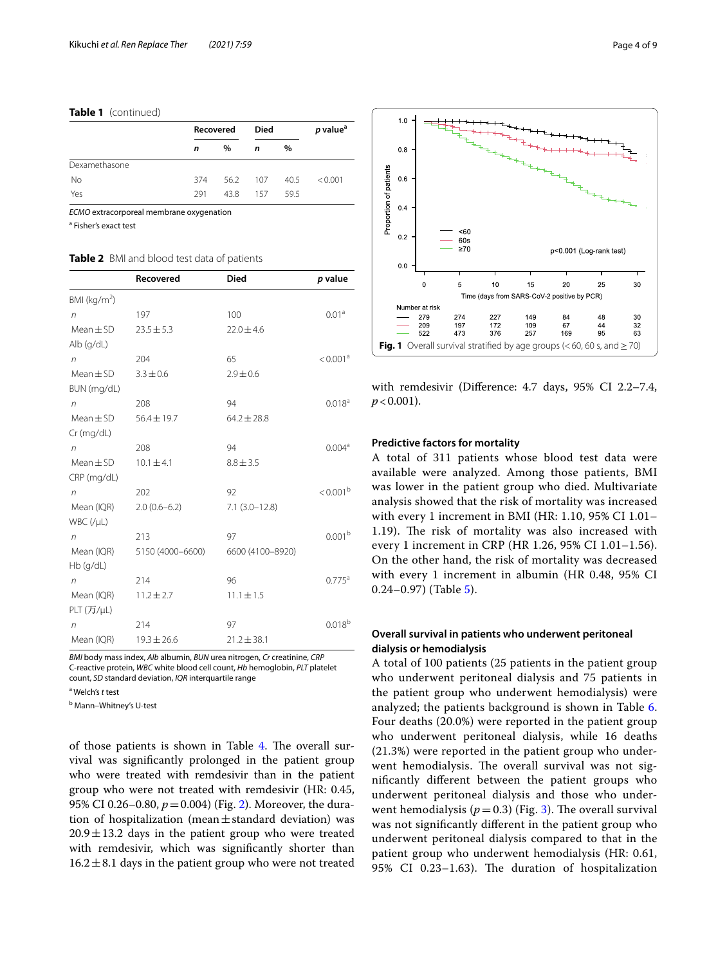#### **Table 1** (continued)

|               | Recovered |          | Died |      | p value <sup>a</sup> |
|---------------|-----------|----------|------|------|----------------------|
|               | n         | $\%$     | n    | $\%$ |                      |
| Dexamethasone |           |          |      |      |                      |
| <b>No</b>     | 374       | 56.2 107 |      | 40.5 | < 0.001              |
| Yes           | 291       | 438      | 157  | 595  |                      |

*ECMO* extracorporeal membrane oxygenation

<sup>a</sup> Fisher's exact test

# <span id="page-3-0"></span>**Table 2** BMI and blood test data of patients

|                    | Recovered        | <b>Died</b>      | p value              |
|--------------------|------------------|------------------|----------------------|
| BMI ( $kg/m2$ )    |                  |                  |                      |
| n                  | 197              | 100              | 0.01 <sup>a</sup>    |
| $Mean \pm SD$      | $23.5 \pm 5.3$   | $22.0 \pm 4.6$   |                      |
| Alb (q/dL)         |                  |                  |                      |
| n                  | 204              | 65               | < 0.001 <sup>a</sup> |
| $Mean \pm SD$      | $3.3 \pm 0.6$    | $2.9 \pm 0.6$    |                      |
| BUN (mg/dL)        |                  |                  |                      |
| n                  | 208              | 94               | 0.018 <sup>a</sup>   |
| Mean $\pm$ SD      | $56.4 \pm 19.7$  | $64.2 \pm 28.8$  |                      |
| Cr (mg/dL)         |                  |                  |                      |
| n                  | 208              | 94               | 0.004 <sup>a</sup>   |
| $Mean \pm SD$      | $10.1 \pm 4.1$   | $8.8 \pm 3.5$    |                      |
| CRP (mg/dL)        |                  |                  |                      |
| n                  | 202              | 92               | $< 0.001^{\rm b}$    |
| Mean (IQR)         | $2.0(0.6-6.2)$   | $7.1(3.0-12.8)$  |                      |
| $WBC$ (/ $\mu L$ ) |                  |                  |                      |
| $\sqrt{n}$         | 213              | 97               | 0.001 <sup>b</sup>   |
| Mean (IQR)         | 5150 (4000-6600) | 6600 (4100-8920) |                      |
| $Hb$ (g/dL)        |                  |                  |                      |
| n                  | 214              | 96               | $0.775^{\text{a}}$   |
| Mean (IQR)         | $11.2 \pm 2.7$   | $11.1 \pm 1.5$   |                      |
| PLT (TJ/µL)        |                  |                  |                      |
| n                  | 214              | 97               | 0.018 <sup>b</sup>   |
| Mean (IQR)         | $19.3 \pm 26.6$  | $21.2 \pm 38.1$  |                      |

*BMI* body mass index, *Alb* albumin, *BUN* urea nitrogen, *Cr* creatinine, *CRP* C-reactive protein, *WBC* white blood cell count, *Hb* hemoglobin, *PLT* platelet count, *SD* standard deviation, *IQR* interquartile range

a Welch's *t* test

<sup>b</sup> Mann–Whitney's U-test

of those patients is shown in Table [4.](#page-5-0) The overall survival was signifcantly prolonged in the patient group who were treated with remdesivir than in the patient group who were not treated with remdesivir (HR: 0.45, 95% CI 0.26–0.80, *p*=0.004) (Fig. [2\)](#page-5-1). Moreover, the duration of hospitalization (mean $\pm$ standard deviation) was  $20.9 \pm 13.2$  days in the patient group who were treated with remdesivir, which was signifcantly shorter than  $16.2 \pm 8.1$  days in the patient group who were not treated



<span id="page-3-1"></span>with remdesivir (Diference: 4.7 days, 95% CI 2.2–7.4,  $p < 0.001$ ).

#### **Predictive factors for mortality**

A total of 311 patients whose blood test data were available were analyzed. Among those patients, BMI was lower in the patient group who died. Multivariate analysis showed that the risk of mortality was increased with every 1 increment in BMI (HR: 1.10, 95% CI 1.01– 1.19). The risk of mortality was also increased with every 1 increment in CRP (HR 1.26, 95% CI 1.01–1.56). On the other hand, the risk of mortality was decreased with every 1 increment in albumin (HR 0.48, 95% CI 0.24–0.97) (Table [5\)](#page-6-0).

# **Overall survival in patients who underwent peritoneal dialysis or hemodialysis**

A total of 100 patients (25 patients in the patient group who underwent peritoneal dialysis and 75 patients in the patient group who underwent hemodialysis) were analyzed; the patients background is shown in Table [6](#page-6-1). Four deaths (20.0%) were reported in the patient group who underwent peritoneal dialysis, while 16 deaths (21.3%) were reported in the patient group who underwent hemodialysis. The overall survival was not signifcantly diferent between the patient groups who underwent peritoneal dialysis and those who underwent hemodialysis ( $p=0.3$ ) (Fig. [3](#page-7-0)). The overall survival was not signifcantly diferent in the patient group who underwent peritoneal dialysis compared to that in the patient group who underwent hemodialysis (HR: 0.61, 95% CI 0.23-1.63). The duration of hospitalization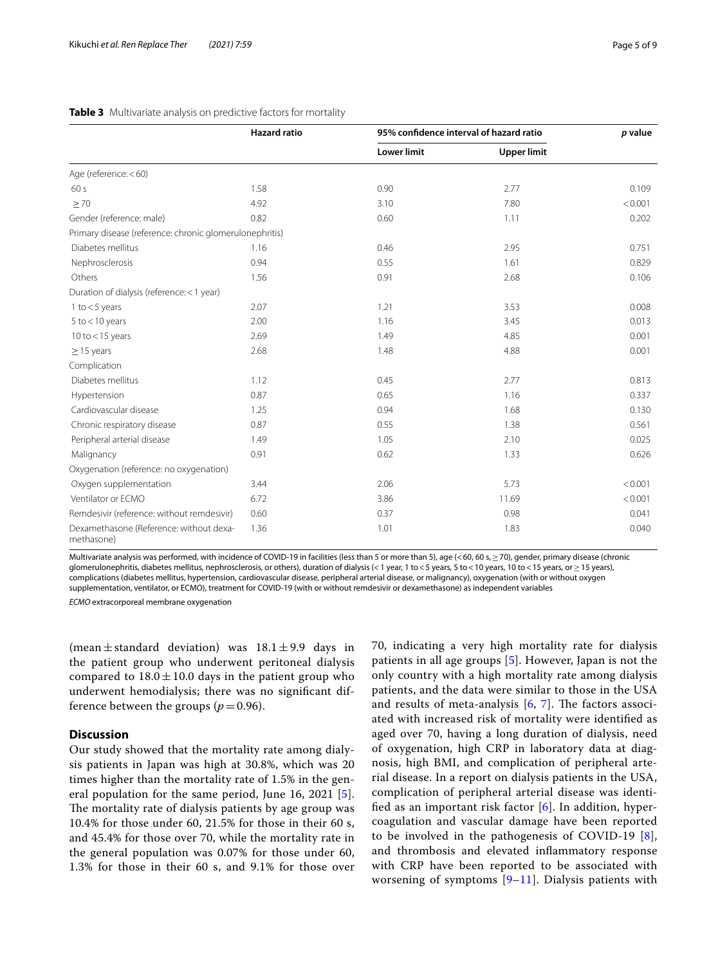|                                                         | <b>Hazard ratio</b> |                    | 95% confidence interval of hazard ratio |         |  |
|---------------------------------------------------------|---------------------|--------------------|-----------------------------------------|---------|--|
|                                                         |                     | <b>Lower limit</b> | <b>Upper limit</b>                      |         |  |
| Age (reference: < 60)                                   |                     |                    |                                         |         |  |
| 60s                                                     | 1.58                | 0.90               | 2.77                                    | 0.109   |  |
| $\geq 70$                                               | 4.92                | 3.10               | 7.80                                    | < 0.001 |  |
| Gender (reference: male)                                | 0.82                | 0.60               | 1.11                                    | 0.202   |  |
| Primary disease (reference: chronic glomerulonephritis) |                     |                    |                                         |         |  |
| Diabetes mellitus                                       | 1.16                | 0.46               | 2.95                                    | 0.751   |  |
| Nephrosclerosis                                         | 0.94                | 0.55               | 1.61                                    | 0.829   |  |
| Others                                                  | 1.56                | 0.91               | 2.68                                    | 0.106   |  |
| Duration of dialysis (reference: < 1 year)              |                     |                    |                                         |         |  |
| 1 to $<$ 5 years                                        | 2.07                | 1.21               | 3.53                                    | 0.008   |  |
| $5$ to $<$ 10 years                                     | 2.00                | 1.16               | 3.45                                    | 0.013   |  |
| 10 to $<$ 15 years                                      | 2.69                | 1.49               | 4.85                                    | 0.001   |  |
| $\geq$ 15 years                                         | 2.68                | 1.48               | 4.88                                    | 0.001   |  |
| Complication                                            |                     |                    |                                         |         |  |
| Diabetes mellitus                                       | 1.12                | 0.45               | 2.77                                    | 0.813   |  |
| Hypertension                                            | 0.87                | 0.65               | 1.16                                    | 0.337   |  |
| Cardiovascular disease                                  | 1.25                | 0.94               | 1.68                                    | 0.130   |  |
| Chronic respiratory disease                             | 0.87                | 0.55               | 1.38                                    | 0.561   |  |
| Peripheral arterial disease                             | 1.49                | 1.05               | 2.10                                    | 0.025   |  |
| Malignancy                                              | 0.91                | 0.62               | 1.33                                    | 0.626   |  |
| Oxygenation (reference: no oxygenation)                 |                     |                    |                                         |         |  |
| Oxygen supplementation                                  | 3.44                | 2.06               | 5.73                                    | < 0.001 |  |
| Ventilator or ECMO                                      | 6.72                | 3.86               | 11.69                                   | < 0.001 |  |
| Remdesivir (reference: without remdesivir)              | 0.60                | 0.37               | 0.98                                    | 0.041   |  |
| Dexamethasone (Reference: without dexa-<br>methasone)   | 1.36                | 1.01               | 1.83                                    | 0.040   |  |

#### <span id="page-4-0"></span>**Table 3** Multivariate analysis on predictive factors for mortality

Multivariate analysis was performed, with incidence of COVID-19 in facilities (less than 5 or more than 5), age (<60, 60 s, > 70), gender, primary disease (chronic glomerulonephritis, diabetes mellitus, nephrosclerosis, or others), duration of dialysis (<1 year, 1 to <5 years, 5 to <10 years, 10 to <15 years, or ≥15 years), complications (diabetes mellitus, hypertension, cardiovascular disease, peripheral arterial disease, or malignancy), oxygenation (with or without oxygen supplementation, ventilator, or ECMO), treatment for COVID-19 (with or without remdesivir or dexamethasone) as independent variables *ECMO* extracorporeal membrane oxygenation

(mean  $\pm$  standard deviation) was  $18.1 \pm 9.9$  days in the patient group who underwent peritoneal dialysis compared to  $18.0 \pm 10.0$  days in the patient group who underwent hemodialysis; there was no signifcant difference between the groups ( $p=0.96$ ).

## **Discussion**

Our study showed that the mortality rate among dialysis patients in Japan was high at 30.8%, which was 20 times higher than the mortality rate of 1.5% in the general population for the same period, June 16, 2021 [[5\]](#page-8-4). The mortality rate of dialysis patients by age group was 10.4% for those under 60, 21.5% for those in their 60 s, and 45.4% for those over 70, while the mortality rate in the general population was 0.07% for those under 60, 1.3% for those in their 60 s, and 9.1% for those over

70, indicating a very high mortality rate for dialysis patients in all age groups [[5\]](#page-8-4). However, Japan is not the only country with a high mortality rate among dialysis patients, and the data were similar to those in the USA and results of meta-analysis  $[6, 7]$  $[6, 7]$  $[6, 7]$  $[6, 7]$ . The factors associated with increased risk of mortality were identifed as aged over 70, having a long duration of dialysis, need of oxygenation, high CRP in laboratory data at diagnosis, high BMI, and complication of peripheral arterial disease. In a report on dialysis patients in the USA, complication of peripheral arterial disease was identified as an important risk factor  $[6]$  $[6]$ . In addition, hypercoagulation and vascular damage have been reported to be involved in the pathogenesis of COVID-19 [[8](#page-8-7)], and thrombosis and elevated infammatory response with CRP have been reported to be associated with worsening of symptoms  $[9-11]$  $[9-11]$  $[9-11]$  $[9-11]$  $[9-11]$ . Dialysis patients with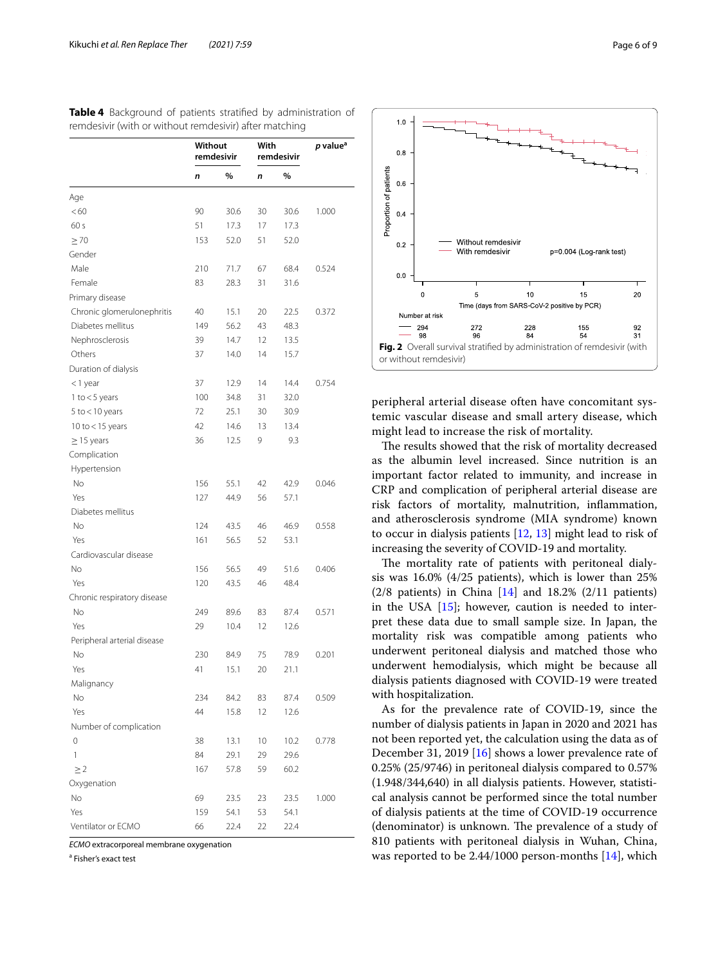|                             | Without<br>remdesivir |      | With<br>remdesivir |      | p value <sup>a</sup> |
|-----------------------------|-----------------------|------|--------------------|------|----------------------|
|                             | n                     | %    | n                  | %    |                      |
| Age                         |                       |      |                    |      |                      |
| < 60                        | 90                    | 30.6 | 30                 | 30.6 | 1.000                |
| 60 s                        | 51                    | 17.3 | 17                 | 17.3 |                      |
| $\geq 70$                   | 153                   | 52.0 | 51                 | 52.0 |                      |
| Gender                      |                       |      |                    |      |                      |
| Male                        | 210                   | 71.7 | 67                 | 68.4 | 0.524                |
| Female                      | 83                    | 28.3 | 31                 | 31.6 |                      |
| Primary disease             |                       |      |                    |      |                      |
| Chronic glomerulonephritis  | 40                    | 15.1 | 20                 | 22.5 | 0.372                |
| Diabetes mellitus           | 149                   | 56.2 | 43                 | 48.3 |                      |
| Nephrosclerosis             | 39                    | 14.7 | 12                 | 13.5 |                      |
| Others                      | 37                    | 14.0 | 14                 | 15.7 |                      |
| Duration of dialysis        |                       |      |                    |      |                      |
| $<$ 1 year                  | 37                    | 12.9 | 14                 | 14.4 | 0.754                |
| 1 to $<$ 5 years            | 100                   | 34.8 | 31                 | 32.0 |                      |
| $5$ to $<$ 10 years         | 72                    | 25.1 | 30                 | 30.9 |                      |
| 10 to $<$ 15 years          | 42                    | 14.6 | 13                 | 13.4 |                      |
| $\geq$ 15 years             | 36                    | 12.5 | 9                  | 9.3  |                      |
| Complication                |                       |      |                    |      |                      |
| Hypertension                |                       |      |                    |      |                      |
| <b>No</b>                   | 156                   | 55.1 | 42                 | 42.9 | 0.046                |
| Yes                         | 127                   | 44.9 | 56                 | 57.1 |                      |
| Diabetes mellitus           |                       |      |                    |      |                      |
| No                          | 124                   | 43.5 | 46                 | 46.9 | 0.558                |
| Yes                         | 161                   | 56.5 | 52                 | 53.1 |                      |
| Cardiovascular disease      |                       |      |                    |      |                      |
| No                          | 156                   | 56.5 | 49                 | 51.6 | 0.406                |
| Yes                         | 120                   | 43.5 | 46                 | 48.4 |                      |
| Chronic respiratory disease |                       |      |                    |      |                      |
| No                          | 249                   | 89.6 | 83                 | 87.4 | 0.571                |
| Yes                         | 29                    | 10.4 | 12                 | 12.6 |                      |
| Peripheral arterial disease |                       |      |                    |      |                      |
| No                          | 230                   | 84.9 | 75                 | 78.9 | 0.201                |
| Yes                         | 41                    | 15.1 | 20                 | 21.1 |                      |
| Malignancy                  |                       |      |                    |      |                      |
| No                          | 234                   | 84.2 | 83                 | 87.4 | 0.509                |
| Yes                         | 44                    | 15.8 | 12                 | 12.6 |                      |
| Number of complication      |                       |      |                    |      |                      |
| 0                           | 38                    | 13.1 | 10                 | 10.2 | 0.778                |
| 1                           | 84                    | 29.1 | 29                 | 29.6 |                      |
| $\geq$ 2                    | 167                   | 57.8 | 59                 | 60.2 |                      |
| Oxygenation                 |                       |      |                    |      |                      |
| No                          | 69                    | 23.5 | 23                 | 23.5 | 1.000                |
| Yes                         | 159                   | 54.1 | 53                 | 54.1 |                      |
| Ventilator or ECMO          | 66                    | 22.4 | 22                 | 22.4 |                      |

<span id="page-5-0"></span>**Table 4** Background of patients stratifed by administration of remdesivir (with or without remdesivir) after matching

*ECMO* extracorporeal membrane oxygenation

<sup>a</sup> Fisher's exact test



<span id="page-5-1"></span>peripheral arterial disease often have concomitant systemic vascular disease and small artery disease, which might lead to increase the risk of mortality.

The results showed that the risk of mortality decreased as the albumin level increased. Since nutrition is an important factor related to immunity, and increase in CRP and complication of peripheral arterial disease are risk factors of mortality, malnutrition, infammation, and atherosclerosis syndrome (MIA syndrome) known to occur in dialysis patients [[12,](#page-8-10) [13\]](#page-8-11) might lead to risk of increasing the severity of COVID-19 and mortality.

The mortality rate of patients with peritoneal dialysis was 16.0% (4/25 patients), which is lower than 25%  $(2/8 \text{ patients})$  in China  $[14]$  $[14]$  and  $18.2\%$   $(2/11 \text{ patients})$ in the USA  $[15]$  $[15]$ ; however, caution is needed to interpret these data due to small sample size. In Japan, the mortality risk was compatible among patients who underwent peritoneal dialysis and matched those who underwent hemodialysis, which might be because all dialysis patients diagnosed with COVID-19 were treated with hospitalization.

As for the prevalence rate of COVID-19, since the number of dialysis patients in Japan in 2020 and 2021 has not been reported yet, the calculation using the data as of December 31, 2019 [[16\]](#page-8-14) shows a lower prevalence rate of 0.25% (25/9746) in peritoneal dialysis compared to 0.57% (1.948/344,640) in all dialysis patients. However, statistical analysis cannot be performed since the total number of dialysis patients at the time of COVID-19 occurrence (denominator) is unknown. The prevalence of a study of 810 patients with peritoneal dialysis in Wuhan, China, was reported to be 2.44/1000 person-months [[14\]](#page-8-12), which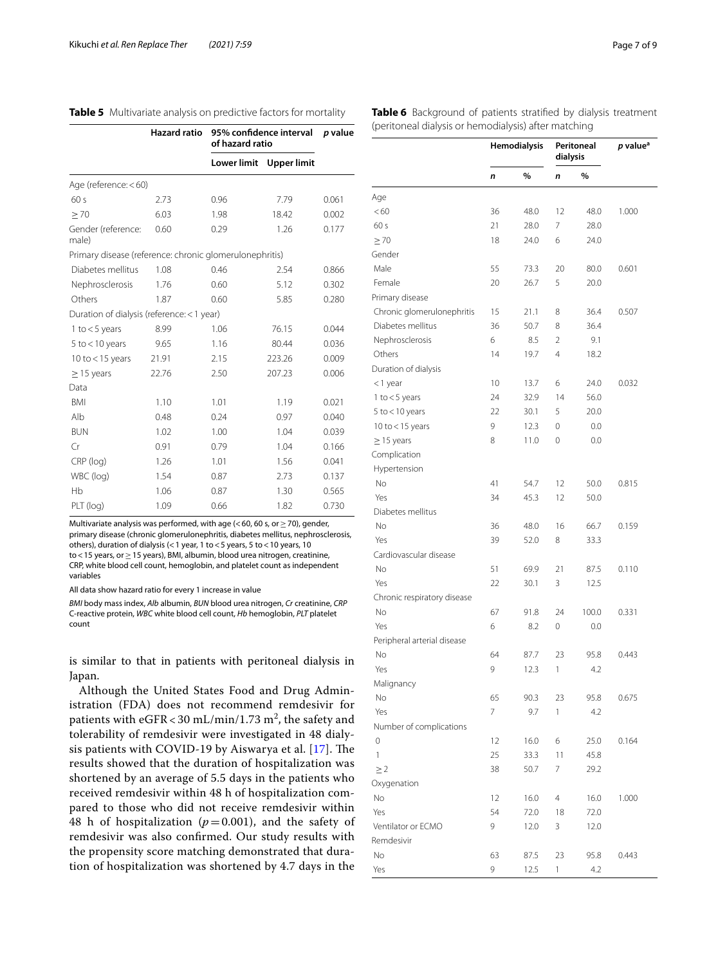<span id="page-6-0"></span>

|  | Table 5 Multivariate analysis on predictive factors for mortality |  |  |  |  |  |
|--|-------------------------------------------------------------------|--|--|--|--|--|
|--|-------------------------------------------------------------------|--|--|--|--|--|

|                                                         | <b>Hazard ratio</b> | 95% confidence interval<br>of hazard ratio | p value     |       |
|---------------------------------------------------------|---------------------|--------------------------------------------|-------------|-------|
|                                                         |                     | <b>Lower limit</b>                         | Upper limit |       |
| Age (reference: <60)                                    |                     |                                            |             |       |
| 60s                                                     | 2.73                | 0.96                                       | 7.79        | 0.061 |
| $\geq 70$                                               | 6.03                | 1.98                                       | 18.42       | 0.002 |
| Gender (reference:<br>male)                             | 0.60                | 0.29                                       | 1.26        | 0.177 |
| Primary disease (reference: chronic glomerulonephritis) |                     |                                            |             |       |
| Diabetes mellitus                                       | 1.08                | 0.46                                       | 2.54        | 0.866 |
| Nephrosclerosis                                         | 1.76                | 0.60                                       | 5.12        | 0.302 |
| Others                                                  | 1.87                | 0.60                                       | 5.85        | 0.280 |
| Duration of dialysis (reference: < 1 year)              |                     |                                            |             |       |
| 1 to $<$ 5 years                                        | 8.99                | 1.06                                       | 76.15       | 0.044 |
| $5$ to $<$ 10 years                                     | 9.65                | 1.16                                       | 80.44       | 0.036 |
| 10 to $<$ 15 years                                      | 21.91               | 2.15                                       | 223.26      | 0.009 |
| $\geq$ 15 years                                         | 22.76               | 2.50                                       | 207.23      | 0.006 |
| Data                                                    |                     |                                            |             |       |
| <b>BMI</b>                                              | 1.10                | 1.01                                       | 1.19        | 0.021 |
| Alb                                                     | 0.48                | 0.24                                       | 0.97        | 0.040 |
| <b>BUN</b>                                              | 1.02                | 1.00                                       | 1.04        | 0.039 |
| Cr                                                      | 0.91                | 0.79                                       | 1.04        | 0.166 |
| CRP (log)                                               | 1.26                | 1.01                                       | 1.56        | 0.041 |
| WBC (log)                                               | 1.54                | 0.87                                       | 2.73        | 0.137 |
| Hb                                                      | 1.06                | 0.87                                       | 1.30        | 0.565 |
| PLT (log)                                               | 1.09                | 0.66                                       | 1.82        | 0.730 |

Multivariate analysis was performed, with age (<60, 60 s, or  $\geq$  70), gender, primary disease (chronic glomerulonephritis, diabetes mellitus, nephrosclerosis, others), duration of dialysis (<1 year, 1 to<5 years, 5 to<10 years, 10 to<15 years, or≥15 years), BMI, albumin, blood urea nitrogen, creatinine, CRP, white blood cell count, hemoglobin, and platelet count as independent variables

All data show hazard ratio for every 1 increase in value

*BMI* body mass index, *Alb* albumin, *BUN* blood urea nitrogen, *Cr* creatinine, *CRP* C-reactive protein, *WBC* white blood cell count, *Hb* hemoglobin, *PLT* platelet count

is similar to that in patients with peritoneal dialysis in Japan.

Although the United States Food and Drug Administration (FDA) does not recommend remdesivir for patients with  $\mathrm{eGFR}$  < 30 mL/min/1.73 m<sup>2</sup>, the safety and tolerability of remdesivir were investigated in 48 dialysis patients with COVID-19 by Aiswarya et al.  $[17]$  $[17]$ . The results showed that the duration of hospitalization was shortened by an average of 5.5 days in the patients who received remdesivir within 48 h of hospitalization compared to those who did not receive remdesivir within 48 h of hospitalization ( $p=0.001$ ), and the safety of remdesivir was also confrmed. Our study results with the propensity score matching demonstrated that duration of hospitalization was shortened by 4.7 days in the

<span id="page-6-1"></span>

|                             | Hemodialysis |      | Peritoneal<br>dialysis |       | p value <sup>a</sup> |
|-----------------------------|--------------|------|------------------------|-------|----------------------|
|                             | n            | %    | n                      | %     |                      |
| Age                         |              |      |                        |       |                      |
| < 60                        | 36           | 48.0 | 12                     | 48.0  | 1.000                |
| 60 s                        | 21           | 28.0 | 7                      | 28.0  |                      |
| $\geq 70$                   | 18           | 24.0 | 6                      | 24.0  |                      |
| Gender                      |              |      |                        |       |                      |
| Male                        | 55           | 73.3 | 20                     | 80.0  | 0.601                |
| Female                      | 20           | 26.7 | 5                      | 20.0  |                      |
| Primary disease             |              |      |                        |       |                      |
| Chronic glomerulonephritis  | 15           | 21.1 | 8                      | 36.4  | 0.507                |
| Diabetes mellitus           | 36           | 50.7 | 8                      | 36.4  |                      |
| Nephrosclerosis             | 6            | 8.5  | $\overline{2}$         | 9.1   |                      |
| Others                      | 14           | 19.7 | 4                      | 18.2  |                      |
| Duration of dialysis        |              |      |                        |       |                      |
| $<$ 1 year                  | 10           | 13.7 | 6                      | 24.0  | 0.032                |
| 1 to $<$ 5 years            | 24           | 32.9 | 14                     | 56.0  |                      |
| $5$ to $<$ 10 years         | 22           | 30.1 | 5                      | 20.0  |                      |
| 10 to $<$ 15 years          | 9            | 12.3 | 0                      | 0.0   |                      |
| $\geq$ 15 years             | 8            | 11.0 | 0                      | 0.0   |                      |
| Complication                |              |      |                        |       |                      |
| Hypertension                |              |      |                        |       |                      |
| N <sub>o</sub>              | 41           | 54.7 | 12                     | 50.0  | 0.815                |
| Yes                         | 34           | 45.3 | 12                     | 50.0  |                      |
| Diabetes mellitus           |              |      |                        |       |                      |
| No                          | 36           | 48.0 | 16                     | 66.7  | 0.159                |
| Yes                         | 39           | 52.0 | 8                      | 33.3  |                      |
| Cardiovascular disease      |              |      |                        |       |                      |
| No                          | 51           | 69.9 | 21                     | 87.5  | 0.110                |
| Yes                         | 22           | 30.1 | 3                      | 12.5  |                      |
| Chronic respiratory disease |              |      |                        |       |                      |
| No                          | 67           | 91.8 | 24                     | 100.0 | 0.331                |
| Yes                         | 6            | 8.2  | 0                      | 0.0   |                      |
| Peripheral arterial disease |              |      |                        |       |                      |
| No                          | 64           | 87.7 | 23                     | 95.8  | 0.443                |
| Yes                         | 9            | 12.3 | 1                      | 4.2   |                      |
| Malignancy                  |              |      |                        |       |                      |
| No                          | 65           | 90.3 | 23                     | 95.8  | 0.675                |
| Yes                         | 7            | 9.7  | 1                      | 4.2   |                      |
| Number of complications     |              |      |                        |       |                      |
| 0                           | 12           | 16.0 | 6                      | 25.0  | 0.164                |
| 1                           | 25           | 33.3 | 11                     | 45.8  |                      |
| $\geq$ 2                    | 38           | 50.7 | 7                      | 29.2  |                      |
| Oxygenation                 |              |      |                        |       |                      |
| No                          | 12           | 16.0 | $\overline{4}$         | 16.0  | 1.000                |
| Yes                         | 54           | 72.0 | 18                     | 72.0  |                      |
| Ventilator or ECMO          | 9            | 12.0 | 3                      | 12.0  |                      |
| Remdesivir                  |              |      |                        |       |                      |
| No                          | 63           | 87.5 | 23                     | 95.8  | 0.443                |
| Yes                         | 9            | 12.5 | 1                      | 4.2   |                      |
|                             |              |      |                        |       |                      |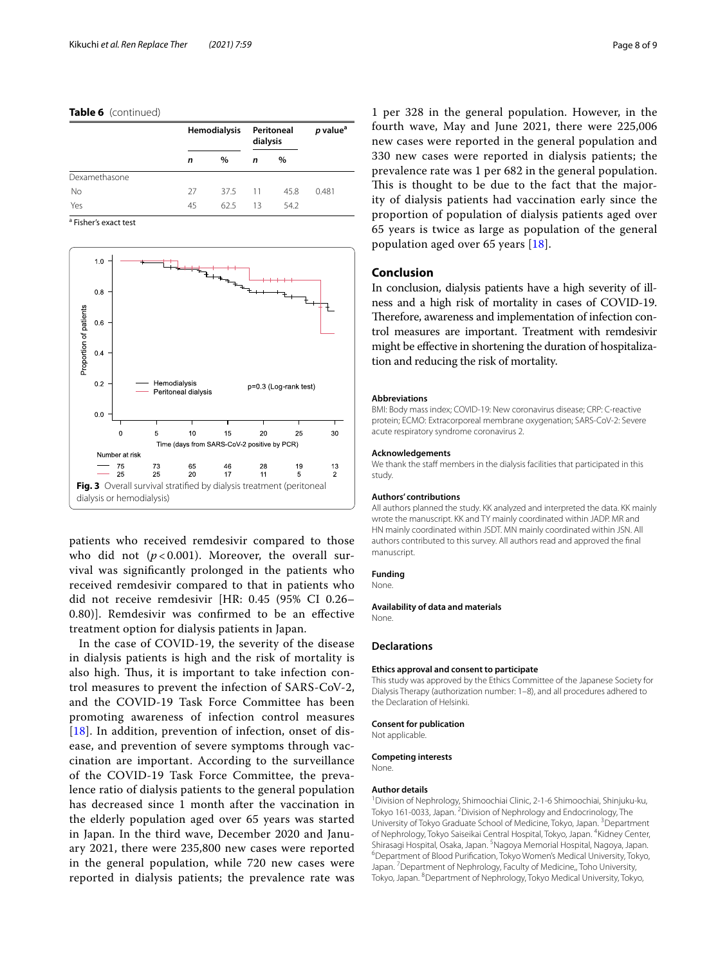#### **Table 6** (continued)

|               | <b>Hemodialysis</b> |      | Peritoneal<br>dialysis |      | p value <sup>a</sup> |
|---------------|---------------------|------|------------------------|------|----------------------|
|               | n                   | $\%$ | n                      | $\%$ |                      |
| Dexamethasone |                     |      |                        |      |                      |
| No            | 27                  | 37.5 | $-11$                  | 45.8 | 0.481                |
| Yes           | 45                  | 62.5 | 13                     | 54.2 |                      |

<sup>a</sup> Fisher's exact test



<span id="page-7-0"></span>patients who received remdesivir compared to those who did not  $(p<0.001)$ . Moreover, the overall survival was signifcantly prolonged in the patients who received remdesivir compared to that in patients who did not receive remdesivir [HR: 0.45 (95% CI 0.26– 0.80)]. Remdesivir was confrmed to be an efective treatment option for dialysis patients in Japan.

In the case of COVID-19, the severity of the disease in dialysis patients is high and the risk of mortality is also high. Thus, it is important to take infection control measures to prevent the infection of SARS-CoV-2, and the COVID-19 Task Force Committee has been promoting awareness of infection control measures [[18](#page-8-16)]. In addition, prevention of infection, onset of disease, and prevention of severe symptoms through vaccination are important. According to the surveillance of the COVID-19 Task Force Committee, the prevalence ratio of dialysis patients to the general population has decreased since 1 month after the vaccination in the elderly population aged over 65 years was started in Japan. In the third wave, December 2020 and January 2021, there were 235,800 new cases were reported in the general population, while 720 new cases were reported in dialysis patients; the prevalence rate was

1 per 328 in the general population. However, in the fourth wave, May and June 2021, there were 225,006 new cases were reported in the general population and 330 new cases were reported in dialysis patients; the prevalence rate was 1 per 682 in the general population. This is thought to be due to the fact that the majority of dialysis patients had vaccination early since the proportion of population of dialysis patients aged over 65 years is twice as large as population of the general population aged over 65 years [[18](#page-8-16)].

#### **Conclusion**

In conclusion, dialysis patients have a high severity of illness and a high risk of mortality in cases of COVID-19. Therefore, awareness and implementation of infection control measures are important. Treatment with remdesivir might be efective in shortening the duration of hospitalization and reducing the risk of mortality.

#### **Abbreviations**

BMI: Body mass index; COVID-19: New coronavirus disease; CRP: C-reactive protein; ECMO: Extracorporeal membrane oxygenation; SARS-CoV-2: Severe acute respiratory syndrome coronavirus 2.

#### **Acknowledgements**

We thank the staff members in the dialysis facilities that participated in this study.

#### **Authors' contributions**

All authors planned the study. KK analyzed and interpreted the data. KK mainly wrote the manuscript. KK and TY mainly coordinated within JADP. MR and HN mainly coordinated within JSDT. MN mainly coordinated within JSN. All authors contributed to this survey. All authors read and approved the fnal manuscript.

#### **Funding**

None.

#### **Availability of data and materials**

None.

#### **Declarations**

#### **Ethics approval and consent to participate**

This study was approved by the Ethics Committee of the Japanese Society for Dialysis Therapy (authorization number: 1–8), and all procedures adhered to the Declaration of Helsinki.

# **Consent for publication**

Not applicable.

#### **Competing interests**

None.

#### **Author details**

<sup>1</sup> Division of Nephrology, Shimoochiai Clinic, 2-1-6 Shimoochiai, Shinjuku-ku, Tokyo 161-0033, Japan. <sup>2</sup> Division of Nephrology and Endocrinology, The University of Tokyo Graduate School of Medicine, Tokyo, Japan.<sup>3</sup> Department of Nephrology, Tokyo Saiseikai Central Hospital, Tokyo, Japan. <sup>4</sup>Kidney Center, Shirasagi Hospital, Osaka, Japan. <sup>5</sup>Nagoya Memorial Hospital, Nagoya, Japan.<br><sup>6</sup>Denartment of Blood Purification, Tokyo Women's Medical University Tokyo Department of Blood Purifcation, Tokyo Women's Medical University, Tokyo, Japan.<sup>7</sup> Department of Nephrology, Faculty of Medicine,, Toho University, Tokyo, Japan. <sup>8</sup> Department of Nephrology, Tokyo Medical University, Tokyo,